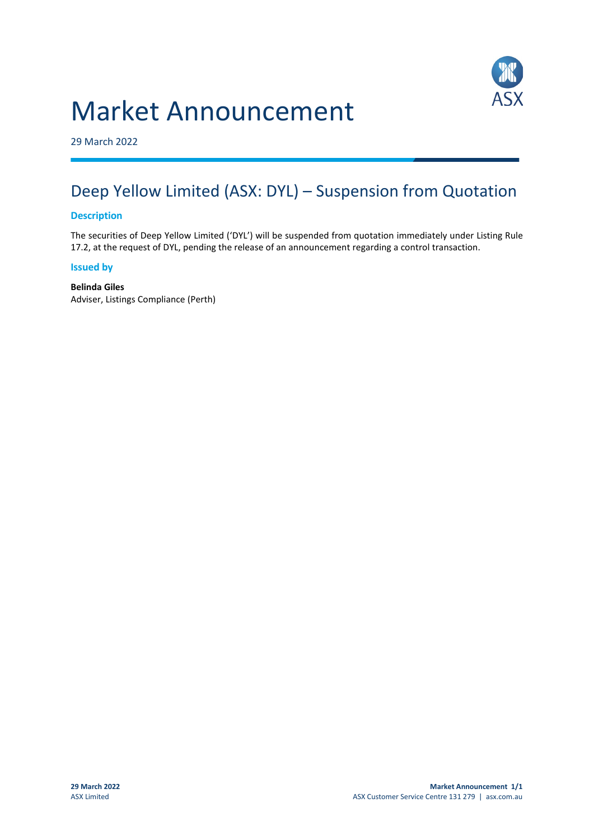# Market Announcement



29 March 2022

## Deep Yellow Limited (ASX: DYL) – Suspension from Quotation

#### **Description**

The securities of Deep Yellow Limited ('DYL') will be suspended from quotation immediately under Listing Rule 17.2, at the request of DYL, pending the release of an announcement regarding a control transaction.

#### **Issued by**

**Belinda Giles** Adviser, Listings Compliance (Perth)